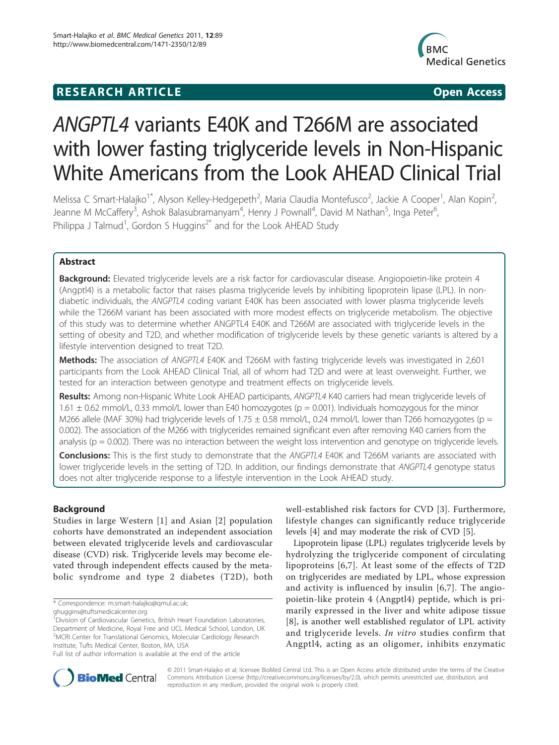## **RESEARCH ARTICLE Example 2018 CONSIDERING ACCESS**



# ANGPTL4 variants E40K and T266M are associated with lower fasting triglyceride levels in Non-Hispanic White Americans from the Look AHEAD Clinical Trial

Melissa C Smart-Halajko<sup>1\*</sup>, Alyson Kelley-Hedgepeth<sup>2</sup>, Maria Claudia Montefusco<sup>2</sup>, Jackie A Cooper<sup>1</sup>, Alan Kopin<sup>2</sup> , Jeanne M McCaffery<sup>3</sup>, Ashok Balasubramanyam<sup>4</sup>, Henry J Pownall<sup>4</sup>, David M Nathan<sup>5</sup>, Inga Peter<sup>6</sup> , Philippa J Talmud<sup>1</sup>, Gordon S Huggins<sup>2\*</sup> and for the Look AHEAD Study

## Abstract

Background: Elevated triglyceride levels are a risk factor for cardiovascular disease. Angiopoietin-like protein 4 (Angptl4) is a metabolic factor that raises plasma triglyceride levels by inhibiting lipoprotein lipase (LPL). In nondiabetic individuals, the ANGPTL4 coding variant E40K has been associated with lower plasma triglyceride levels while the T266M variant has been associated with more modest effects on triglyceride metabolism. The objective of this study was to determine whether ANGPTL4 E40K and T266M are associated with triglyceride levels in the setting of obesity and T2D, and whether modification of triglyceride levels by these genetic variants is altered by a lifestyle intervention designed to treat T2D.

Methods: The association of ANGPTL4 E40K and T266M with fasting triglyceride levels was investigated in 2,601 participants from the Look AHEAD Clinical Trial, all of whom had T2D and were at least overweight. Further, we tested for an interaction between genotype and treatment effects on triglyceride levels.

Results: Among non-Hispanic White Look AHEAD participants, ANGPTL4 K40 carriers had mean triglyceride levels of 1.61  $\pm$  0.62 mmol/L, 0.33 mmol/L lower than E40 homozygotes ( $p = 0.001$ ). Individuals homozygous for the minor M266 allele (MAF 30%) had triglyceride levels of 1.75  $\pm$  0.58 mmol/L, 0.24 mmol/L lower than T266 homozygotes (p = 0.002). The association of the M266 with triglycerides remained significant even after removing K40 carriers from the analysis ( $p = 0.002$ ). There was no interaction between the weight loss intervention and genotype on triglyceride levels.

Conclusions: This is the first study to demonstrate that the ANGPTL4 E40K and T266M variants are associated with lower triglyceride levels in the setting of T2D. In addition, our findings demonstrate that ANGPTL4 genotype status does not alter triglyceride response to a lifestyle intervention in the Look AHEAD study.

## **Background**

Studies in large Western [\[1\]](#page-5-0) and Asian [[2\]](#page-5-0) population cohorts have demonstrated an independent association between elevated triglyceride levels and cardiovascular disease (CVD) risk. Triglyceride levels may become elevated through independent effects caused by the metabolic syndrome and type 2 diabetes (T2D), both well-established risk factors for CVD [[3\]](#page-5-0). Furthermore, lifestyle changes can significantly reduce triglyceride levels [\[4](#page-5-0)] and may moderate the risk of CVD [[5\]](#page-5-0).

Lipoprotein lipase (LPL) regulates triglyceride levels by hydrolyzing the triglyceride component of circulating lipoproteins [[6,7\]](#page-5-0). At least some of the effects of T2D on triglycerides are mediated by LPL, whose expression and activity is influenced by insulin [[6,7](#page-5-0)]. The angiopoietin-like protein 4 (Angptl4) peptide, which is primarily expressed in the liver and white adipose tissue [[8\]](#page-6-0), is another well established regulator of LPL activity and triglyceride levels. In vitro studies confirm that Angptl4, acting as an oligomer, inhibits enzymatic



© 2011 Smart-Halajko et al; licensee BioMed Central Ltd. This is an Open Access article distributed under the terms of the Creative Commons Attribution License [\(http://creativecommons.org/licenses/by/2.0](http://creativecommons.org/licenses/by/2.0)), which permits unrestricted use, distribution, and reproduction in any medium, provided the original work is properly cited.

<sup>\*</sup> Correspondence: [m.smart-halajko@qmul.ac.uk](mailto:m.smart-halajko@qmul.ac.uk);

[ghuggins@tuftsmedicalcenter.org](mailto:ghuggins@tuftsmedicalcenter.org)

<sup>&</sup>lt;sup>1</sup> Division of Cardiovascular Genetics, British Heart Foundation Laboratories, Department of Medicine, Royal Free and UCL Medical School, London, UK <sup>2</sup> MCRI Center for Translational Genomics, Molecular Cardiology Research Institute, Tufts Medical Center, Boston, MA, USA

Full list of author information is available at the end of the article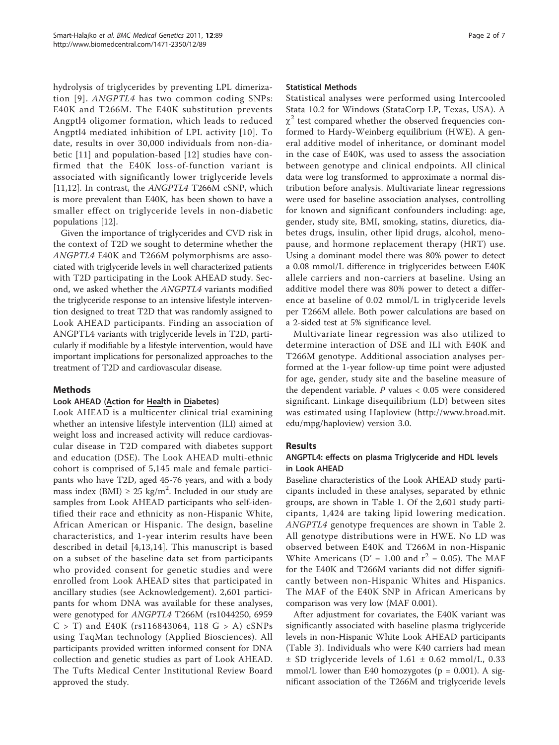hydrolysis of triglycerides by preventing LPL dimerization [[9\]](#page-6-0). ANGPTL4 has two common coding SNPs: E40K and T266M. The E40K substitution prevents Angptl4 oligomer formation, which leads to reduced Angptl4 mediated inhibition of LPL activity [[10\]](#page-6-0). To date, results in over 30,000 individuals from non-diabetic [[11\]](#page-6-0) and population-based [\[12](#page-6-0)] studies have confirmed that the E40K loss-of-function variant is associated with significantly lower triglyceride levels [[11,12\]](#page-6-0). In contrast, the ANGPTL4 T266M cSNP, which is more prevalent than E40K, has been shown to have a smaller effect on triglyceride levels in non-diabetic populations [[12](#page-6-0)].

Given the importance of triglycerides and CVD risk in the context of T2D we sought to determine whether the ANGPTL4 E40K and T266M polymorphisms are associated with triglyceride levels in well characterized patients with T2D participating in the Look AHEAD study. Second, we asked whether the ANGPTL4 variants modified the triglyceride response to an intensive lifestyle intervention designed to treat T2D that was randomly assigned to Look AHEAD participants. Finding an association of ANGPTL4 variants with triglyceride levels in T2D, particularly if modifiable by a lifestyle intervention, would have important implications for personalized approaches to the treatment of T2D and cardiovascular disease.

## Methods

## Look AHEAD (Action for Health in Diabetes)

Look AHEAD is a multicenter clinical trial examining whether an intensive lifestyle intervention (ILI) aimed at weight loss and increased activity will reduce cardiovascular disease in T2D compared with diabetes support and education (DSE). The Look AHEAD multi-ethnic cohort is comprised of 5,145 male and female participants who have T2D, aged 45-76 years, and with a body mass index (BMI)  $\geq 25 \text{ kg/m}^2$ . Included in our study are samples from Look AHEAD participants who self-identified their race and ethnicity as non-Hispanic White, African American or Hispanic. The design, baseline characteristics, and 1-year interim results have been described in detail [[4](#page-5-0),[13,14](#page-6-0)]. This manuscript is based on a subset of the baseline data set from participants who provided consent for genetic studies and were enrolled from Look AHEAD sites that participated in ancillary studies (see Acknowledgement). 2,601 participants for whom DNA was available for these analyses, were genotyped for ANGPTL4 T266M (rs1044250, 6959  $C > T$ ) and E40K (rs116843064, 118 G > A) cSNPs using TaqMan technology (Applied Biosciences). All participants provided written informed consent for DNA collection and genetic studies as part of Look AHEAD. The Tufts Medical Center Institutional Review Board approved the study.

#### Statistical Methods

Statistical analyses were performed using Intercooled Stata 10.2 for Windows (StataCorp LP, Texas, USA). A  $\chi^2$  test compared whether the observed frequencies conformed to Hardy-Weinberg equilibrium (HWE). A general additive model of inheritance, or dominant model in the case of E40K, was used to assess the association between genotype and clinical endpoints. All clinical data were log transformed to approximate a normal distribution before analysis. Multivariate linear regressions were used for baseline association analyses, controlling for known and significant confounders including: age, gender, study site, BMI, smoking, statins, diuretics, diabetes drugs, insulin, other lipid drugs, alcohol, menopause, and hormone replacement therapy (HRT) use. Using a dominant model there was 80% power to detect a 0.08 mmol/L difference in triglycerides between E40K allele carriers and non-carriers at baseline. Using an additive model there was 80% power to detect a difference at baseline of 0.02 mmol/L in triglyceride levels per T266M allele. Both power calculations are based on a 2-sided test at 5% significance level.

Multivariate linear regression was also utilized to determine interaction of DSE and ILI with E40K and T266M genotype. Additional association analyses performed at the 1-year follow-up time point were adjusted for age, gender, study site and the baseline measure of the dependent variable.  $P$  values  $< 0.05$  were considered significant. Linkage disequilibrium (LD) between sites was estimated using Haploview ([http://www.broad.mit.](http://www.broad.mit.edu/mpg/haploview) [edu/mpg/haploview](http://www.broad.mit.edu/mpg/haploview)) version 3.0.

## Results

## ANGPTL4: effects on plasma Triglyceride and HDL levels in Look AHEAD

Baseline characteristics of the Look AHEAD study participants included in these analyses, separated by ethnic groups, are shown in Table [1](#page-2-0). Of the 2,601 study participants, 1,424 are taking lipid lowering medication. ANGPTL4 genotype frequences are shown in Table [2](#page-2-0). All genotype distributions were in HWE. No LD was observed between E40K and T266M in non-Hispanic White Americans (D' = 1.00 and  $r^2$  = 0.05). The MAF for the E40K and T266M variants did not differ significantly between non-Hispanic Whites and Hispanics. The MAF of the E40K SNP in African Americans by comparison was very low (MAF 0.001).

After adjustment for covariates, the E40K variant was significantly associated with baseline plasma triglyceride levels in non-Hispanic White Look AHEAD participants (Table [3\)](#page-3-0). Individuals who were K40 carriers had mean ± SD triglyceride levels of 1.61 ± 0.62 mmol/L, 0.33 mmol/L lower than E40 homozygotes ( $p = 0.001$ ). A significant association of the T266M and triglyceride levels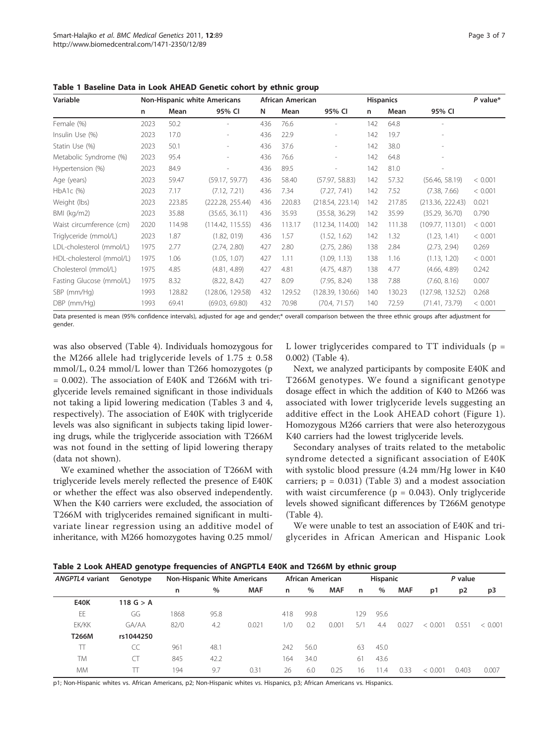| Variable                 |      |        | <b>Non-Hispanic white Americans</b> |     | African American |                          | <b>Hispanics</b> |        | $P$ value*       |         |
|--------------------------|------|--------|-------------------------------------|-----|------------------|--------------------------|------------------|--------|------------------|---------|
|                          | n.   | Mean   | 95% CI                              | N   | Mean             | 95% CI                   | n                | Mean   | 95% CI           |         |
| Female (%)               | 2023 | 50.2   |                                     | 436 | 76.6             |                          | 142              | 64.8   |                  |         |
| Insulin Use (%)          | 2023 | 17.0   | ٠                                   | 436 | 22.9             | $\overline{\phantom{a}}$ | 142              | 19.7   |                  |         |
| Statin Use (%)           | 2023 | 50.1   |                                     | 436 | 37.6             |                          | 142              | 38.0   |                  |         |
| Metabolic Syndrome (%)   | 2023 | 95.4   |                                     | 436 | 76.6             |                          | 142              | 64.8   |                  |         |
| Hypertension (%)         | 2023 | 84.9   |                                     | 436 | 89.5             | $\overline{\phantom{a}}$ | 142              | 81.0   |                  |         |
| Age (years)              | 2023 | 59.47  | (59.17, 59.77)                      | 436 | 58.40            | (57.97, 58.83)           | 142              | 57.32  | (56.46, 58.19)   | < 0.001 |
| $HbA1c$ (%)              | 2023 | 7.17   | (7.12, 7.21)                        | 436 | 7.34             | (7.27, 7.41)             | 142              | 7.52   | (7.38, 7.66)     | < 0.001 |
| Weight (lbs)             | 2023 | 223.85 | (222.28, 255.44)                    | 436 | 220.83           | (218.54, 223.14)         | 142              | 217.85 | (213.36, 222.43) | 0.021   |
| BMI (kg/m2)              | 2023 | 35.88  | (35.65, 36.11)                      | 436 | 35.93            | (35.58, 36.29)           | 142              | 35.99  | (35.29, 36.70)   | 0.790   |
| Waist circumference (cm) | 2020 | 114.98 | (114.42, 115.55)                    | 436 | 113.17           | (112.34, 114.00)         | 142              | 111.38 | (109.77, 113.01) | < 0.001 |
| Triglyceride (mmol/L)    | 2023 | 1.87   | (1.82, 019)                         | 436 | 1.57             | (1.52, 1.62)             | 142              | 1.32   | (1.23, 1.41)     | < 0.001 |
| LDL-cholesterol (mmol/L) | 1975 | 2.77   | (2.74, 2.80)                        | 427 | 2.80             | (2.75, 2.86)             | 138              | 2.84   | (2.73, 2.94)     | 0.269   |
| HDL-cholesterol (mmol/L) | 1975 | 1.06   | (1.05, 1.07)                        | 427 | 1.11             | (1.09, 1.13)             | 138              | 1.16   | (1.13, 1.20)     | < 0.001 |
| Cholesterol (mmol/L)     | 1975 | 4.85   | (4.81, 4.89)                        | 427 | 4.81             | (4.75, 4.87)             | 138              | 4.77   | (4.66, 4.89)     | 0.242   |
| Fasting Glucose (mmol/L) | 1975 | 8.32   | (8.22, 8.42)                        | 427 | 8.09             | (7.95, 8.24)             | 138              | 7.88   | (7.60, 8.16)     | 0.007   |
| SBP (mm/Hg)              | 1993 | 128.82 | (128.06, 129.58)                    | 432 | 129.52           | (128.39, 130.66)         | 140              | 130.23 | (127.98, 132.52) | 0.268   |
| $DBP$ (mm/Hg)            | 1993 | 69.41  | (69.03, 69.80)                      | 432 | 70.98            | (70.4, 71.57)            | 140              | 72.59  | (71.41, 73.79)   | < 0.001 |

<span id="page-2-0"></span>Table 1 Baseline Data in Look AHEAD Genetic cohort by ethnic group

Data presented is mean (95% confidence intervals), adjusted for age and gender;\* overall comparison between the three ethnic groups after adjustment for gender.

was also observed (Table [4\)](#page-3-0). Individuals homozygous for the M266 allele had triglyceride levels of  $1.75 \pm 0.58$ mmol/L, 0.24 mmol/L lower than T266 homozygotes (p = 0.002). The association of E40K and T266M with triglyceride levels remained significant in those individuals not taking a lipid lowering medication (Tables [3](#page-3-0) and [4](#page-3-0), respectively). The association of E40K with triglyceride levels was also significant in subjects taking lipid lowering drugs, while the triglyceride association with T266M was not found in the setting of lipid lowering therapy (data not shown).

We examined whether the association of T266M with triglyceride levels merely reflected the presence of E40K or whether the effect was also observed independently. When the K40 carriers were excluded, the association of T266M with triglycerides remained significant in multivariate linear regression using an additive model of inheritance, with M266 homozygotes having 0.25 mmol/ L lower triglycerides compared to  $TT$  individuals ( $p =$ 0.002) (Table [4\)](#page-3-0).

Next, we analyzed participants by composite E40K and T266M genotypes. We found a significant genotype dosage effect in which the addition of K40 to M266 was associated with lower triglyceride levels suggesting an additive effect in the Look AHEAD cohort (Figure [1](#page-4-0)). Homozygous M266 carriers that were also heterozygous K40 carriers had the lowest triglyceride levels.

Secondary analyses of traits related to the metabolic syndrome detected a significant association of E40K with systolic blood pressure (4.24 mm/Hg lower in K40 carriers;  $p = 0.031$ ) (Table [3\)](#page-3-0) and a modest association with waist circumference ( $p = 0.043$ ). Only triglyceride levels showed significant differences by T266M genotype (Table [4\)](#page-3-0).

We were unable to test an association of E40K and triglycerides in African American and Hispanic Look

| Table 2 Look AHEAD genotype frequencies of ANGPTL4 E40K and T266M by ethnic group |  |  |  |  |  |  |  |  |  |  |  |  |  |  |  |
|-----------------------------------------------------------------------------------|--|--|--|--|--|--|--|--|--|--|--|--|--|--|--|
|-----------------------------------------------------------------------------------|--|--|--|--|--|--|--|--|--|--|--|--|--|--|--|

| ANGPTL4 variant | Genotype    | <b>Non-Hispanic White Americans</b> |      | African American |     |      | <b>Hispanic</b> |     |      | P value    |         |                |         |
|-----------------|-------------|-------------------------------------|------|------------------|-----|------|-----------------|-----|------|------------|---------|----------------|---------|
|                 |             | n                                   | $\%$ | <b>MAF</b>       | n   | $\%$ | <b>MAF</b>      | n   | %    | <b>MAF</b> | p1      | p <sub>2</sub> | p3      |
| <b>E40K</b>     | 118 $G > A$ |                                     |      |                  |     |      |                 |     |      |            |         |                |         |
| EE              | GG          | 1868                                | 95.8 |                  | 418 | 99.8 |                 | 129 | 95.6 |            |         |                |         |
| EK/KK           | GA/AA       | 82/0                                | 4.2  | 0.021            | 1/0 | 0.2  | 0.001           | 5/1 | 4.4  | 0.027      | < 0.001 | 0.551          | < 0.001 |
| T266M           | rs1044250   |                                     |      |                  |     |      |                 |     |      |            |         |                |         |
| π               | CC          | 961                                 | 48.1 |                  | 242 | 56.0 |                 | 63  | 45.0 |            |         |                |         |
| <b>TM</b>       |             | 845                                 | 42.2 |                  | 164 | 34.0 |                 | 61  | 43.6 |            |         |                |         |
| <b>MM</b>       |             | 194                                 | 9.7  | 0.31             | 26  | 6.0  | 0.25            | 16  | 11.4 | 0.33       | < 0.001 | 0.403          | 0.007   |

p1; Non-Hispanic whites vs. African Americans, p2; Non-Hispanic whites vs. Hispanics, p3; African Americans vs. Hispanics.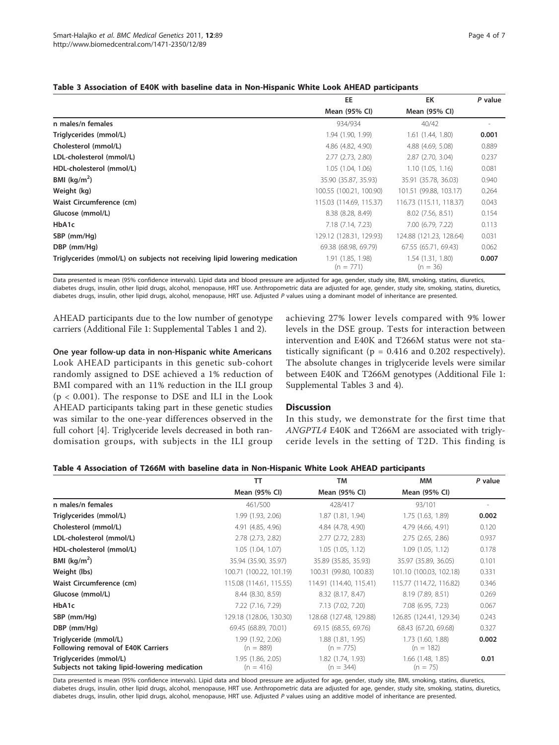<span id="page-3-0"></span>

|  | Table 3 Association of E40K with baseline data in Non-Hispanic White Look AHEAD participants |
|--|----------------------------------------------------------------------------------------------|
|--|----------------------------------------------------------------------------------------------|

|                                                                            | EE                               | EK                             | P value |
|----------------------------------------------------------------------------|----------------------------------|--------------------------------|---------|
|                                                                            | Mean (95% CI)                    | Mean (95% CI)                  |         |
| n males/n females                                                          | 934/934                          | 40/42                          |         |
| Triglycerides (mmol/L)                                                     | 1.94 (1.90, 1.99)                | 1.61 (1.44, 1.80)              | 0.001   |
| Cholesterol (mmol/L)                                                       | 4.86 (4.82, 4.90)                | 4.88 (4.69, 5.08)              | 0.889   |
| LDL-cholesterol (mmol/L)                                                   | 2.77(2.73, 2.80)                 | 2.87 (2.70, 3.04)              | 0.237   |
| HDL-cholesterol (mmol/L)                                                   | 1.05 (1.04, 1.06)                | 1.10(1.05, 1.16)               | 0.081   |
| BMI ( $kg/m2$ )                                                            | 35.90 (35.87, 35.93)             | 35.91 (35.78, 36.03)           | 0.940   |
| Weight (kg)                                                                | 100.55 (100.21, 100.90)          | 101.51 (99.88, 103.17)         | 0.264   |
| Waist Circumference (cm)                                                   | 115.03 (114.69, 115.37)          | 116.73 (115.11, 118.37)        | 0.043   |
| Glucose (mmol/L)                                                           | 8.38 (8.28, 8.49)                | 8.02 (7.56, 8.51)              | 0.154   |
| HbA1c                                                                      | 7.18 (7.14, 7.23)                | 7.00 (6.79, 7.22)              | 0.113   |
| SBP (mm/Hg)                                                                | 129.12 (128.31, 129.93)          | 124.88 (121.23, 128.64)        | 0.031   |
| DBP (mm/Hg)                                                                | 69.38 (68.98, 69.79)             | 67.55 (65.71, 69.43)           | 0.062   |
| Triglycerides (mmol/L) on subjects not receiving lipid lowering medication | 1.91 (1.85, 1.98)<br>$(n = 771)$ | 1.54(1.31, 1.80)<br>$(n = 36)$ | 0.007   |

Data presented is mean (95% confidence intervals). Lipid data and blood pressure are adjusted for age, gender, study site, BMI, smoking, statins, diuretics, diabetes drugs, insulin, other lipid drugs, alcohol, menopause, HRT use. Anthropometric data are adjusted for age, gender, study site, smoking, statins, diuretics, diabetes drugs, insulin, other lipid drugs, alcohol, menopause, HRT use. Adjusted P values using a dominant model of inheritance are presented.

AHEAD participants due to the low number of genotype carriers (Additional File [1](#page-5-0): Supplemental Tables 1 and 2).

One year follow-up data in non-Hispanic white Americans Look AHEAD participants in this genetic sub-cohort randomly assigned to DSE achieved a 1% reduction of BMI compared with an 11% reduction in the ILI group (p < 0.001). The response to DSE and ILI in the Look AHEAD participants taking part in these genetic studies was similar to the one-year differences observed in the full cohort [\[4](#page-5-0)]. Triglyceride levels decreased in both randomisation groups, with subjects in the ILI group achieving 27% lower levels compared with 9% lower levels in the DSE group. Tests for interaction between intervention and E40K and T266M status were not statistically significant ( $p = 0.416$  and 0.202 respectively). The absolute changes in triglyceride levels were similar between E40K and T266M genotypes (Additional File [1](#page-5-0): Supplemental Tables 3 and 4).

## **Discussion**

In this study, we demonstrate for the first time that ANGPTL4 E40K and T266M are associated with triglyceride levels in the setting of T2D. This finding is

| Table 4 Association of T266M with baseline data in Non-Hispanic White Look AHEAD participants |  |
|-----------------------------------------------------------------------------------------------|--|
|-----------------------------------------------------------------------------------------------|--|

|                                                                         | тт                               | <b>TM</b>                        | <b>MM</b>                           | P value |
|-------------------------------------------------------------------------|----------------------------------|----------------------------------|-------------------------------------|---------|
|                                                                         | Mean (95% CI)                    | Mean (95% CI)                    | Mean (95% CI)                       |         |
| n males/n females                                                       | 461/500                          | 428/417                          | 93/101                              |         |
| Triglycerides (mmol/L)                                                  | 1.99 (1.93, 2.06)                | 1.87(1.81, 1.94)                 | 1.75 (1.63, 1.89)                   | 0.002   |
| Cholesterol (mmol/L)                                                    | 4.91 (4.85, 4.96)                | 4.84 (4.78, 4.90)                | 4.79 (4.66, 4.91)                   | 0.120   |
| LDL-cholesterol (mmol/L)                                                | 2.78 (2.73, 2.82)                | $2.77$ $(2.72, 2.83)$            | $2.75$ $(2.65, 2.86)$               | 0.937   |
| HDL-cholesterol (mmol/L)                                                | 1.05(1.04, 1.07)                 | 1.05(1.05, 1.12)                 | 1.09(1.05, 1.12)                    | 0.178   |
| BMI $(kq/m2)$                                                           | 35.94 (35.90, 35.97)             | 35.89 (35.85, 35.93)             | 35.97 (35.89, 36.05)                | 0.101   |
| Weight (lbs)                                                            | 100.71 (100.22, 101.19)          | 100.31 (99.80, 100.83)           | 101.10 (100.03, 102.18)             | 0.331   |
| Waist Circumference (cm)                                                | 115.08 (114.61, 115.55)          | 114.91 (114.40, 115.41)          | 115.77 (114.72, 116.82)             | 0.346   |
| Glucose (mmol/L)                                                        | 8.44 (8.30, 8.59)                | 8.32 (8.17, 8.47)                | 8.19 (7.89, 8.51)                   | 0.269   |
| HbA1c                                                                   | 7.22 (7.16, 7.29)                | 7.13 (7.02, 7.20)                | 7.08 (6.95, 7.23)                   | 0.067   |
| SBP (mm/Hq)                                                             | 129.18 (128.06, 130.30)          | 128.68 (127.48, 129.88)          | 126.85 (124.41, 129.34)             | 0.243   |
| DBP (mm/Hq)                                                             | 69.45 (68.89, 70.01)             | 69.15 (68.55, 69.76)             | 68.43 (67.20, 69.68)                | 0.327   |
| Triglyceride (mmol/L)<br>Following removal of E40K Carriers             | 1.99 (1.92, 2.06)<br>$(n = 889)$ | 1.88 (1.81, 1.95)<br>$(n = 775)$ | 1.73 (1.60, 1.88)<br>$(n = 182)$    | 0.002   |
| Triglycerides (mmol/L)<br>Subjects not taking lipid-lowering medication | 1.95(1.86, 2.05)<br>$(n = 416)$  | 1.82 (1.74, 1.93)<br>$(n = 344)$ | $1.66$ $(1.48, 1.85)$<br>$(n = 75)$ | 0.01    |

Data presented is mean (95% confidence intervals). Lipid data and blood pressure are adjusted for age, gender, study site, BMI, smoking, statins, diuretics, diabetes drugs, insulin, other lipid drugs, alcohol, menopause, HRT use. Anthropometric data are adjusted for age, gender, study site, smoking, statins, diuretics, diabetes drugs, insulin, other lipid drugs, alcohol, menopause, HRT use. Adjusted P values using an additive model of inheritance are presented.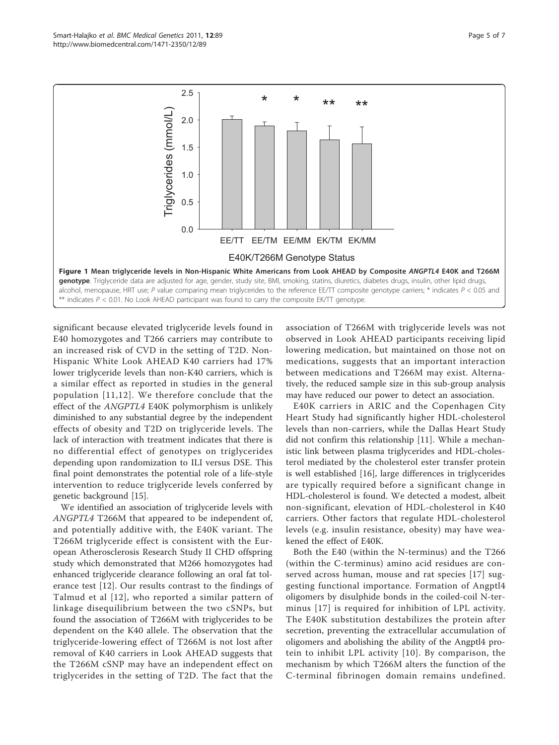<span id="page-4-0"></span>

significant because elevated triglyceride levels found in E40 homozygotes and T266 carriers may contribute to an increased risk of CVD in the setting of T2D. Non-Hispanic White Look AHEAD K40 carriers had 17% lower triglyceride levels than non-K40 carriers, which is a similar effect as reported in studies in the general population [[11,12\]](#page-6-0). We therefore conclude that the effect of the ANGPTL4 E40K polymorphism is unlikely diminished to any substantial degree by the independent effects of obesity and T2D on triglyceride levels. The lack of interaction with treatment indicates that there is no differential effect of genotypes on triglycerides depending upon randomization to ILI versus DSE. This final point demonstrates the potential role of a life-style intervention to reduce triglyceride levels conferred by genetic background [\[15\]](#page-6-0).

We identified an association of triglyceride levels with ANGPTL4 T266M that appeared to be independent of, and potentially additive with, the E40K variant. The T266M triglyceride effect is consistent with the European Atherosclerosis Research Study II CHD offspring study which demonstrated that M266 homozygotes had enhanced triglyceride clearance following an oral fat tolerance test [[12](#page-6-0)]. Our results contrast to the findings of Talmud et al [[12\]](#page-6-0), who reported a similar pattern of linkage disequilibrium between the two cSNPs, but found the association of T266M with triglycerides to be dependent on the K40 allele. The observation that the triglyceride-lowering effect of T266M is not lost after removal of K40 carriers in Look AHEAD suggests that the T266M cSNP may have an independent effect on triglycerides in the setting of T2D. The fact that the association of T266M with triglyceride levels was not observed in Look AHEAD participants receiving lipid lowering medication, but maintained on those not on medications, suggests that an important interaction between medications and T266M may exist. Alternatively, the reduced sample size in this sub-group analysis may have reduced our power to detect an association.

E40K carriers in ARIC and the Copenhagen City Heart Study had significantly higher HDL-cholesterol levels than non-carriers, while the Dallas Heart Study did not confirm this relationship [[11\]](#page-6-0). While a mechanistic link between plasma triglycerides and HDL-cholesterol mediated by the cholesterol ester transfer protein is well established [[16\]](#page-6-0), large differences in triglycerides are typically required before a significant change in HDL-cholesterol is found. We detected a modest, albeit non-significant, elevation of HDL-cholesterol in K40 carriers. Other factors that regulate HDL-cholesterol levels (e.g. insulin resistance, obesity) may have weakened the effect of E40K.

Both the E40 (within the N-terminus) and the T266 (within the C-terminus) amino acid residues are conserved across human, mouse and rat species [\[17\]](#page-6-0) suggesting functional importance. Formation of Angptl4 oligomers by disulphide bonds in the coiled-coil N-terminus [[17](#page-6-0)] is required for inhibition of LPL activity. The E40K substitution destabilizes the protein after secretion, preventing the extracellular accumulation of oligomers and abolishing the ability of the Angptl4 protein to inhibit LPL activity [[10\]](#page-6-0). By comparison, the mechanism by which T266M alters the function of the C-terminal fibrinogen domain remains undefined.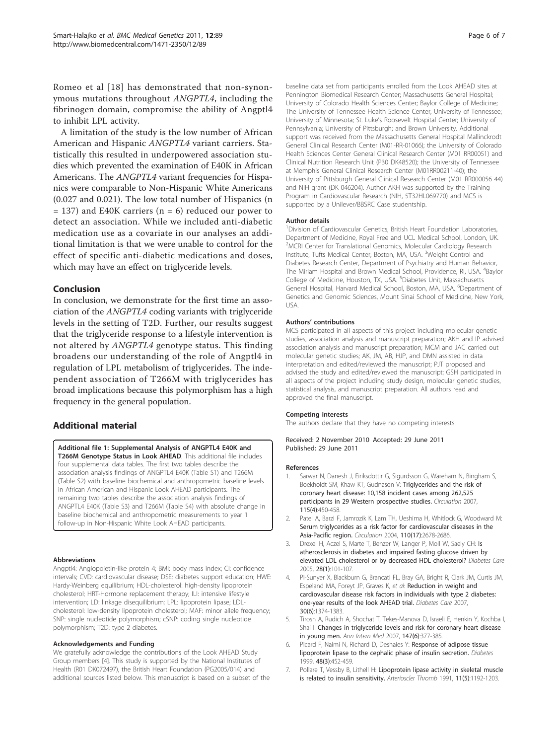<span id="page-5-0"></span>Romeo et al [[18\]](#page-6-0) has demonstrated that non-synonymous mutations throughout ANGPTL4, including the fibrinogen domain, compromise the ability of Angptl4 to inhibit LPL activity.

A limitation of the study is the low number of African American and Hispanic ANGPTL4 variant carriers. Statistically this resulted in underpowered association studies which prevented the examination of E40K in African Americans. The ANGPTL4 variant frequencies for Hispanics were comparable to Non-Hispanic White Americans (0.027 and 0.021). The low total number of Hispanics (n  $= 137$ ) and E40K carriers (n  $= 6$ ) reduced our power to detect an association. While we included anti-diabetic medication use as a covariate in our analyses an additional limitation is that we were unable to control for the effect of specific anti-diabetic medications and doses, which may have an effect on triglyceride levels.

#### Conclusion

In conclusion, we demonstrate for the first time an association of the ANGPTL4 coding variants with triglyceride levels in the setting of T2D. Further, our results suggest that the triglyceride response to a lifestyle intervention is not altered by ANGPTL4 genotype status. This finding broadens our understanding of the role of Angptl4 in regulation of LPL metabolism of triglycerides. The independent association of T266M with triglycerides has broad implications because this polymorphism has a high frequency in the general population.

## Additional material

[Additional file 1: S](http://www.biomedcentral.com/content/supplementary/1471-2350-12-89-S1.DOC)upplemental Analysis of ANGPTL4 E40K and T266M Genotype Status in Look AHEAD. This additional file includes four supplemental data tables. The first two tables describe the association analysis findings of ANGPTL4 E40K (Table S1) and T266M (Table S2) with baseline biochemical and anthropometric baseline levels in African American and Hispanic Look AHEAD participants. The remaining two tables describe the association analysis findings of ANGPTL4 E40K (Table S3) and T266M (Table S4) with absolute change in baseline biochemical and anthropometric measurements to year 1 follow-up in Non-Hispanic White Look AHEAD participants.

#### Abbreviations

Angptl4: Angiopoietin-like protein 4; BMI: body mass index; CI: confidence intervals; CVD: cardiovascular disease; DSE: diabetes support education; HWE: Hardy-Weinberg equilibrium; HDL-cholesterol: high-density lipoprotein cholesterol; HRT-Hormone replacement therapy; ILI: intensive lifestyle intervention; LD: linkage disequilibrium; LPL: lipoprotein lipase; LDLcholesterol: low-density lipoprotein cholesterol; MAF: minor allele frequency; SNP: single nucleotide polymorphism; cSNP: coding single nucleotide polymorphism; T2D: type 2 diabetes.

#### Acknowledgements and Funding

We gratefully acknowledge the contributions of the Look AHEAD Study Group members [4]. This study is supported by the National Institutes of Health (R01 DK072497), the British Heart Foundation (PG2005/014) and additional sources listed below. This manuscript is based on a subset of the baseline data set from participants enrolled from the Look AHEAD sites at Pennington Biomedical Research Center; Massachusetts General Hospital; University of Colorado Health Sciences Center; Baylor College of Medicine; The University of Tennessee Health Science Center, University of Tennessee; University of Minnesota; St. Luke's Roosevelt Hospital Center; University of Pennsylvania; University of Pittsburgh; and Brown University. Additional support was received from the Massachusetts General Hospital Mallinckrodt General Clinical Research Center (M01-RR-01066); the University of Colorado Health Sciences Center General Clinical Research Center (M01 RR00051) and Clinical Nutrition Research Unit (P30 DK48520); the University of Tennessee at Memphis General Clinical Research Center (M01RR00211-40); the University of Pittsburgh General Clinical Research Center (M01 RR000056 44) and NIH grant (DK 046204). Author AKH was supported by the Training Program in Cardiovascular Research (NIH, 5T32HL069770) and MCS is supported by a Unilever/BBSRC Case studentship.

#### Author details

<sup>1</sup> Division of Cardiovascular Genetics, British Heart Foundation Laboratories, Department of Medicine, Royal Free and UCL Medical School, London, UK. <sup>2</sup> MCRI Center for Translational Genomics, Molecular Cardiology Research Institute, Tufts Medical Center, Boston, MA, USA. <sup>3</sup>Weight Control and Diabetes Research Center, Department of Psychiatry and Human Behavior, The Miriam Hospital and Brown Medical School, Providence, RI, USA. <sup>4</sup>Baylor College of Medicine, Houston, TX, USA. <sup>5</sup>Diabetes Unit, Massachusetts General Hospital, Harvard Medical School, Boston, MA, USA. <sup>6</sup>Department of Genetics and Genomic Sciences, Mount Sinai School of Medicine, New York, USA.

#### Authors' contributions

MCS participated in all aspects of this project including molecular genetic studies, association analysis and manuscript preparation; AKH and IP advised association analysis and manuscript preparation; MCM and JAC carried out molecular genetic studies; AK, JM, AB, HJP, and DMN assisted in data interpretation and edited/reviewed the manuscript; PJT proposed and advised the study and edited/reviewed the manuscript; GSH participated in all aspects of the project including study design, molecular genetic studies, statistical analysis, and manuscript preparation. All authors read and approved the final manuscript.

#### Competing interests

The authors declare that they have no competing interests.

Received: 2 November 2010 Accepted: 29 June 2011 Published: 29 June 2011

#### References

- Sarwar N, Danesh J, Eiriksdottir G, Sigurdsson G, Wareham N, Bingham S, Boekholdt SM, Khaw KT, Gudnason V: [Triglycerides and the risk of](http://www.ncbi.nlm.nih.gov/pubmed/17190864?dopt=Abstract) [coronary heart disease: 10,158 incident cases among 262,525](http://www.ncbi.nlm.nih.gov/pubmed/17190864?dopt=Abstract) [participants in 29 Western prospective studies.](http://www.ncbi.nlm.nih.gov/pubmed/17190864?dopt=Abstract) Circulation 2007, 115(4):450-458.
- 2. Patel A, Barzi F, Jamrozik K, Lam TH, Ueshima H, Whitlock G, Woodward M: [Serum triglycerides as a risk factor for cardiovascular diseases in the](http://www.ncbi.nlm.nih.gov/pubmed/15492305?dopt=Abstract) [Asia-Pacific region.](http://www.ncbi.nlm.nih.gov/pubmed/15492305?dopt=Abstract) Circulation 2004, 110(17):2678-2686.
- Drexel H, Aczel S, Marte T, Benzer W, Langer P, Moll W, Saely CH: [Is](http://www.ncbi.nlm.nih.gov/pubmed/15616241?dopt=Abstract) [atherosclerosis in diabetes and impaired fasting glucose driven by](http://www.ncbi.nlm.nih.gov/pubmed/15616241?dopt=Abstract) [elevated LDL cholesterol or by decreased HDL cholesterol?](http://www.ncbi.nlm.nih.gov/pubmed/15616241?dopt=Abstract) Diabetes Care 2005, 28(1):101-107.
- 4. Pi-Sunyer X, Blackburn G, Brancati FL, Bray GA, Bright R, Clark JM, Curtis JM, Espeland MA, Foreyt JP, Graves K, et al: [Reduction in weight and](http://www.ncbi.nlm.nih.gov/pubmed/17363746?dopt=Abstract) [cardiovascular disease risk factors in individuals with type 2 diabetes:](http://www.ncbi.nlm.nih.gov/pubmed/17363746?dopt=Abstract) [one-year results of the look AHEAD trial.](http://www.ncbi.nlm.nih.gov/pubmed/17363746?dopt=Abstract) Diabetes Care 2007, 30(6):1374-1383.
- 5. Tirosh A, Rudich A, Shochat T, Tekes-Manova D, Israeli E, Henkin Y, Kochba I, Shai I: [Changes in triglyceride levels and risk for coronary heart disease](http://www.ncbi.nlm.nih.gov/pubmed/17876021?dopt=Abstract) [in young men.](http://www.ncbi.nlm.nih.gov/pubmed/17876021?dopt=Abstract) Ann Intern Med 2007, 147(6):377-385.
- 6. Picard F, Naimi N, Richard D, Deshaies Y: [Response of adipose tissue](http://www.ncbi.nlm.nih.gov/pubmed/10078543?dopt=Abstract) [lipoprotein lipase to the cephalic phase of insulin secretion.](http://www.ncbi.nlm.nih.gov/pubmed/10078543?dopt=Abstract) Diabetes 1999, 48(3):452-459.
- 7. Pollare T, Vessby B, Lithell H: [Lipoprotein lipase activity in skeletal muscle](http://www.ncbi.nlm.nih.gov/pubmed/1911706?dopt=Abstract) [is related to insulin sensitivity.](http://www.ncbi.nlm.nih.gov/pubmed/1911706?dopt=Abstract) Arterioscler Thromb 1991, 11(5):1192-1203.